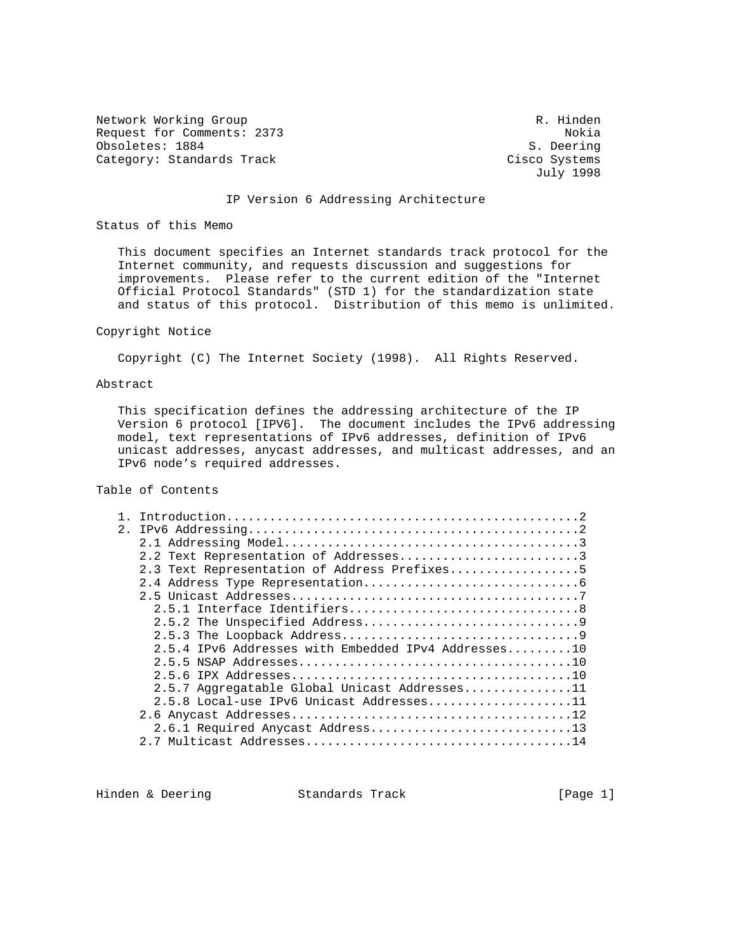Network Working Group and the set of the set of the R. Hinden Request for Comments: 2373 Nokia Obsoletes: 1884 S. Deering Category: Standards Track Cisco Systems

July 1998

#### IP Version 6 Addressing Architecture

Status of this Memo

 This document specifies an Internet standards track protocol for the Internet community, and requests discussion and suggestions for improvements. Please refer to the current edition of the "Internet Official Protocol Standards" (STD 1) for the standardization state and status of this protocol. Distribution of this memo is unlimited.

## Copyright Notice

Copyright (C) The Internet Society (1998). All Rights Reserved.

### Abstract

 This specification defines the addressing architecture of the IP Version 6 protocol [IPV6]. The document includes the IPv6 addressing model, text representations of IPv6 addresses, definition of IPv6 unicast addresses, anycast addresses, and multicast addresses, and an IPv6 node's required addresses.

# Table of Contents

| 2.1 |                                                     |
|-----|-----------------------------------------------------|
|     |                                                     |
|     | 2.2 Text Representation of Addresses3               |
|     | 2.3 Text Representation of Address Prefixes5        |
|     |                                                     |
|     |                                                     |
|     |                                                     |
|     |                                                     |
|     |                                                     |
|     | 2.5.4 IPv6 Addresses with Embedded IPv4 Addresses10 |
|     |                                                     |
|     |                                                     |
|     | 2.5.7 Aggregatable Global Unicast Addresses11       |
|     | 2.5.8 Local-use IPv6 Unicast Addresses11            |
|     |                                                     |
|     | 2.6.1 Required Anycast Address13                    |
|     |                                                     |
|     |                                                     |

Hinden & Deering Standards Track [Page 1]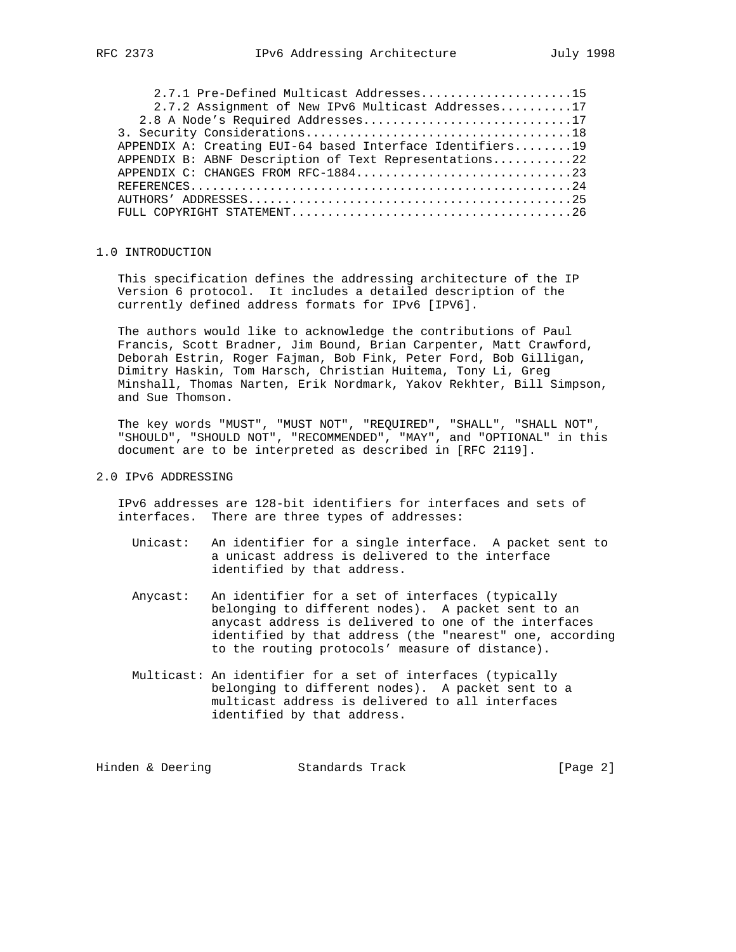| 2.8 A Node's Required Addresses17                         |  |
|-----------------------------------------------------------|--|
|                                                           |  |
| APPENDIX A: Creating EUI-64 based Interface Identifiers19 |  |
| APPENDIX B: ABNF Description of Text Representations22    |  |
|                                                           |  |
|                                                           |  |
|                                                           |  |
|                                                           |  |

### 1.0 INTRODUCTION

 This specification defines the addressing architecture of the IP Version 6 protocol. It includes a detailed description of the currently defined address formats for IPv6 [IPV6].

 The authors would like to acknowledge the contributions of Paul Francis, Scott Bradner, Jim Bound, Brian Carpenter, Matt Crawford, Deborah Estrin, Roger Fajman, Bob Fink, Peter Ford, Bob Gilligan, Dimitry Haskin, Tom Harsch, Christian Huitema, Tony Li, Greg Minshall, Thomas Narten, Erik Nordmark, Yakov Rekhter, Bill Simpson, and Sue Thomson.

 The key words "MUST", "MUST NOT", "REQUIRED", "SHALL", "SHALL NOT", "SHOULD", "SHOULD NOT", "RECOMMENDED", "MAY", and "OPTIONAL" in this document are to be interpreted as described in [RFC 2119].

# 2.0 IPv6 ADDRESSING

 IPv6 addresses are 128-bit identifiers for interfaces and sets of interfaces. There are three types of addresses:

- Unicast: An identifier for a single interface. A packet sent to a unicast address is delivered to the interface identified by that address.
- Anycast: An identifier for a set of interfaces (typically belonging to different nodes). A packet sent to an anycast address is delivered to one of the interfaces identified by that address (the "nearest" one, according to the routing protocols' measure of distance).
- Multicast: An identifier for a set of interfaces (typically belonging to different nodes). A packet sent to a multicast address is delivered to all interfaces identified by that address.

| Hinden & Deering<br>Standards Track | [Page $2$ ] |
|-------------------------------------|-------------|
|-------------------------------------|-------------|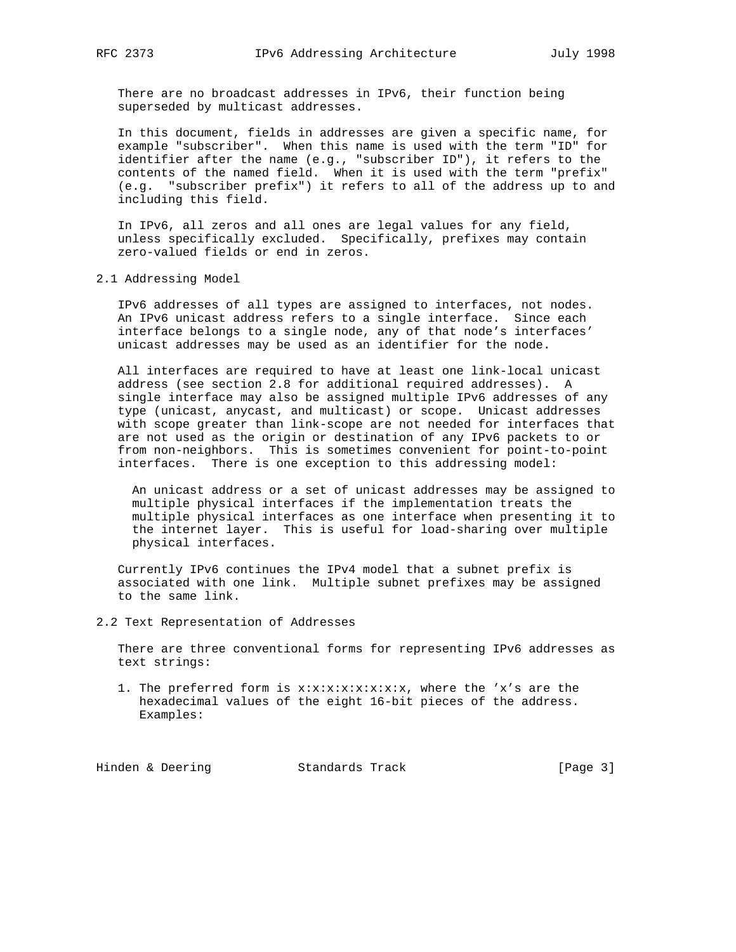There are no broadcast addresses in IPv6, their function being superseded by multicast addresses.

 In this document, fields in addresses are given a specific name, for example "subscriber". When this name is used with the term "ID" for identifier after the name (e.g., "subscriber ID"), it refers to the contents of the named field. When it is used with the term "prefix" (e.g. "subscriber prefix") it refers to all of the address up to and including this field.

 In IPv6, all zeros and all ones are legal values for any field, unless specifically excluded. Specifically, prefixes may contain zero-valued fields or end in zeros.

2.1 Addressing Model

 IPv6 addresses of all types are assigned to interfaces, not nodes. An IPv6 unicast address refers to a single interface. Since each interface belongs to a single node, any of that node's interfaces' unicast addresses may be used as an identifier for the node.

 All interfaces are required to have at least one link-local unicast address (see section 2.8 for additional required addresses). A single interface may also be assigned multiple IPv6 addresses of any type (unicast, anycast, and multicast) or scope. Unicast addresses with scope greater than link-scope are not needed for interfaces that are not used as the origin or destination of any IPv6 packets to or from non-neighbors. This is sometimes convenient for point-to-point interfaces. There is one exception to this addressing model:

 An unicast address or a set of unicast addresses may be assigned to multiple physical interfaces if the implementation treats the multiple physical interfaces as one interface when presenting it to the internet layer. This is useful for load-sharing over multiple physical interfaces.

 Currently IPv6 continues the IPv4 model that a subnet prefix is associated with one link. Multiple subnet prefixes may be assigned to the same link.

2.2 Text Representation of Addresses

 There are three conventional forms for representing IPv6 addresses as text strings:

 1. The preferred form is x:x:x:x:x:x:x:x, where the 'x's are the hexadecimal values of the eight 16-bit pieces of the address. Examples:

Hinden & Deering Standards Track [Page 3]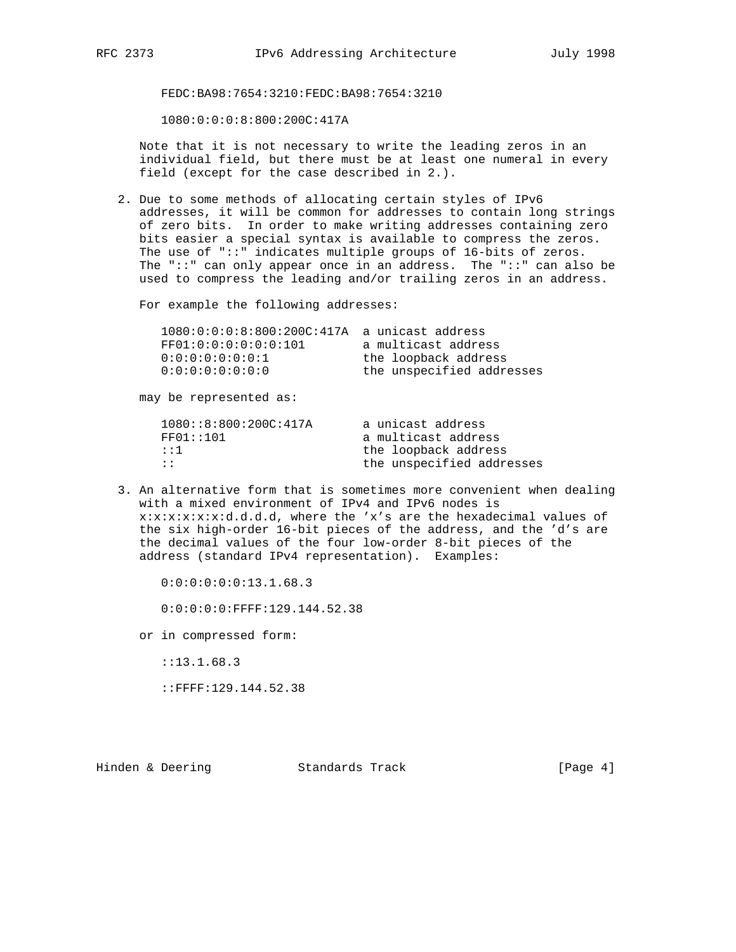FEDC:BA98:7654:3210:FEDC:BA98:7654:3210

1080:0:0:0:8:800:200C:417A

 Note that it is not necessary to write the leading zeros in an individual field, but there must be at least one numeral in every field (except for the case described in 2.).

 2. Due to some methods of allocating certain styles of IPv6 addresses, it will be common for addresses to contain long strings of zero bits. In order to make writing addresses containing zero bits easier a special syntax is available to compress the zeros. The use of "::" indicates multiple groups of 16-bits of zeros. The "::" can only appear once in an address. The "::" can also be used to compress the leading and/or trailing zeros in an address.

For example the following addresses:

| $1080:0:0:0:8:800:200C:417A$ a unicast address |                           |
|------------------------------------------------|---------------------------|
| FF01:0:0:0:0:0:0:0:101                         | a multicast address       |
| 0:0:0:0:0:0:0:0:1                              | the loopback address      |
| 0:0:0:0:0:0:0:0:0                              | the unspecified addresses |
|                                                |                           |

may be represented as:

| 1080::8::800::200C::417A | a unicast address         |
|--------------------------|---------------------------|
| FF01::101                | a multicast address       |
| $\mathbf{1}$ : 1         | the loopback address      |
| $\cdot$ :                | the unspecified addresses |
|                          |                           |

 3. An alternative form that is sometimes more convenient when dealing with a mixed environment of IPv4 and IPv6 nodes is x:x:x:x:x:x:d.d.d.d, where the 'x's are the hexadecimal values of the six high-order 16-bit pieces of the address, and the 'd's are the decimal values of the four low-order 8-bit pieces of the address (standard IPv4 representation). Examples:

0:0:0:0:0:0:13.1.68.3

0:0:0:0:0:FFFF:129.144.52.38

or in compressed form:

::13.1.68.3

::FFFF:129.144.52.38

Hinden & Deering Standards Track [Page 4]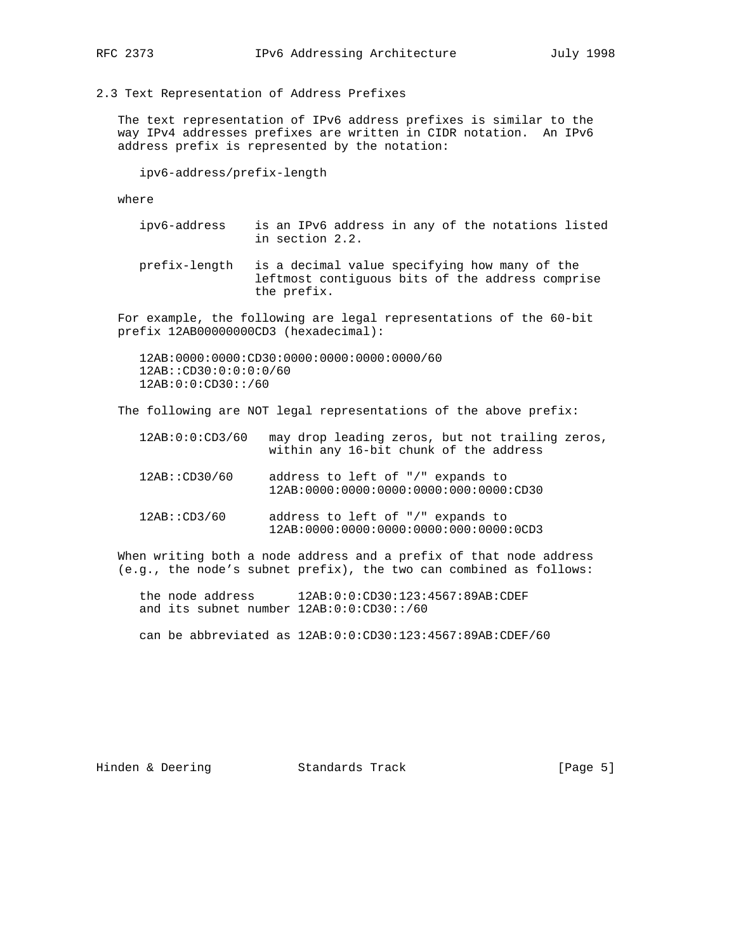2.3 Text Representation of Address Prefixes

 The text representation of IPv6 address prefixes is similar to the way IPv4 addresses prefixes are written in CIDR notation. An IPv6 address prefix is represented by the notation:

ipv6-address/prefix-length

where

- ipv6-address is an IPv6 address in any of the notations listed in section 2.2.
- prefix-length is a decimal value specifying how many of the leftmost contiguous bits of the address comprise the prefix.

 For example, the following are legal representations of the 60-bit prefix 12AB00000000CD3 (hexadecimal):

 12AB:0000:0000:CD30:0000:0000:0000:0000/60 12AB::CD30:0:0:0:0/60 12AB:0:0:CD30::/60

The following are NOT legal representations of the above prefix:

| 12AB:0:0:CD3/60 | within any 16-bit chunk of the address                                        | may drop leading zeros, but not trailing zeros, |
|-----------------|-------------------------------------------------------------------------------|-------------------------------------------------|
| 12AB::CD30/60   | address to left of "/" expands to<br>$12AB:0000:0000:0000:0000:000:0000:0000$ |                                                 |
| 12AB::CD3/60    | address to left of "/" expands to<br>12AB:0000:0000:0000:0000:000:0000:0CD3   |                                                 |

 When writing both a node address and a prefix of that node address (e.g., the node's subnet prefix), the two can combined as follows:

- the node address 12AB:0:0:CD30:123:4567:89AB:CDEF and its subnet number 12AB:0:0:CD30::/60
- can be abbreviated as 12AB:0:0:CD30:123:4567:89AB:CDEF/60

Hinden & Deering Standards Track [Page 5]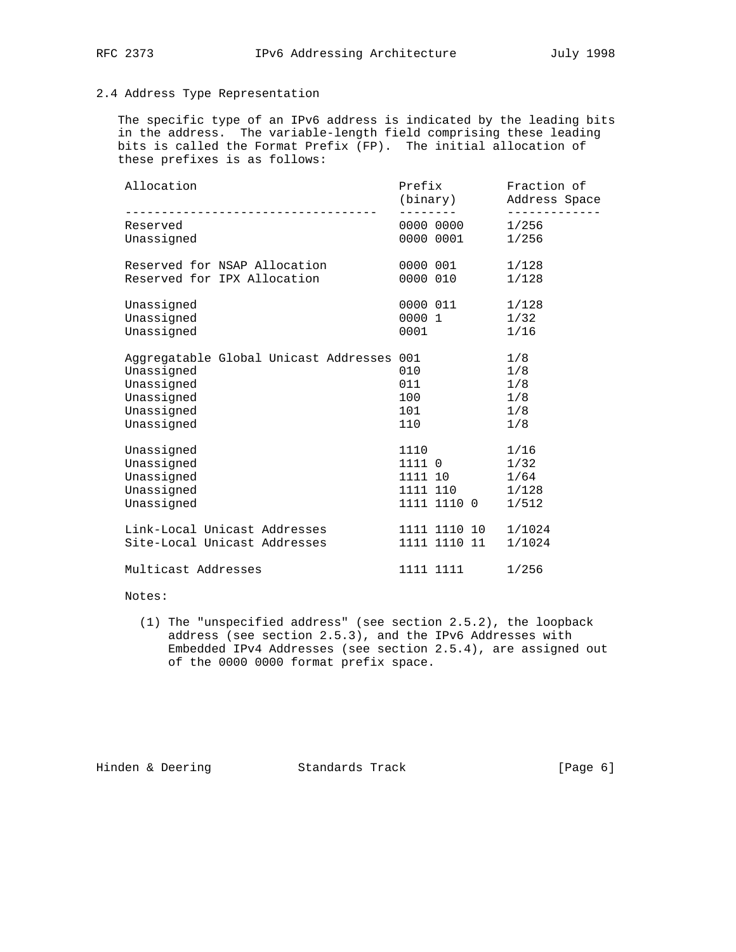# 2.4 Address Type Representation

 The specific type of an IPv6 address is indicated by the leading bits in the address. The variable-length field comprising these leading bits is called the Format Prefix (FP). The initial allocation of these prefixes is as follows:

| Allocation<br>----------------------------------- | Prefix<br>(binary) | Fraction of<br>Address Space<br><u> - - - - - - - - - - .</u> |
|---------------------------------------------------|--------------------|---------------------------------------------------------------|
| Reserved                                          | 0000 0000          | 1/256                                                         |
| Unassigned                                        | 0000 0001          | 1/256                                                         |
| Reserved for NSAP Allocation                      | 0000 001           | 1/128                                                         |
| Reserved for IPX Allocation                       | 0000 010           | 1/128                                                         |
| Unassigned                                        | 0000 011           | 1/128                                                         |
| Unassigned                                        | 0000 1             | 1/32                                                          |
| Unassigned                                        | 0001               | 1/16                                                          |
| Aggregatable Global Unicast Addresses 001         |                    | 1/8                                                           |
| Unassigned                                        | 010                | 1/8                                                           |
| Unassigned                                        | 011                | 1/8                                                           |
| Unassigned                                        | 100                | 1/8                                                           |
| Unassigned                                        | 101                | 1/8                                                           |
| Unassigned                                        | 110                | 1/8                                                           |
| Unassigned                                        | 1110               | 1/16                                                          |
| Unassigned                                        | 1111 0             | 1/32                                                          |
| Unassigned                                        | 1111 10            | 1/64                                                          |
| Unassigned                                        | 1111 110           | 1/128                                                         |
| Unassigned                                        | 1111 1110 0        | 1/512                                                         |
| Link-Local Unicast Addresses                      | 1111 1110 10       | 1/1024                                                        |
| Site-Local Unicast Addresses                      | 1111 1110 11       | 1/1024                                                        |
| Multicast Addresses                               | 1111 1111          | 1/256                                                         |

## Notes:

 (1) The "unspecified address" (see section 2.5.2), the loopback address (see section 2.5.3), and the IPv6 Addresses with Embedded IPv4 Addresses (see section 2.5.4), are assigned out of the 0000 0000 format prefix space.

Hinden & Deering Standards Track [Page 6]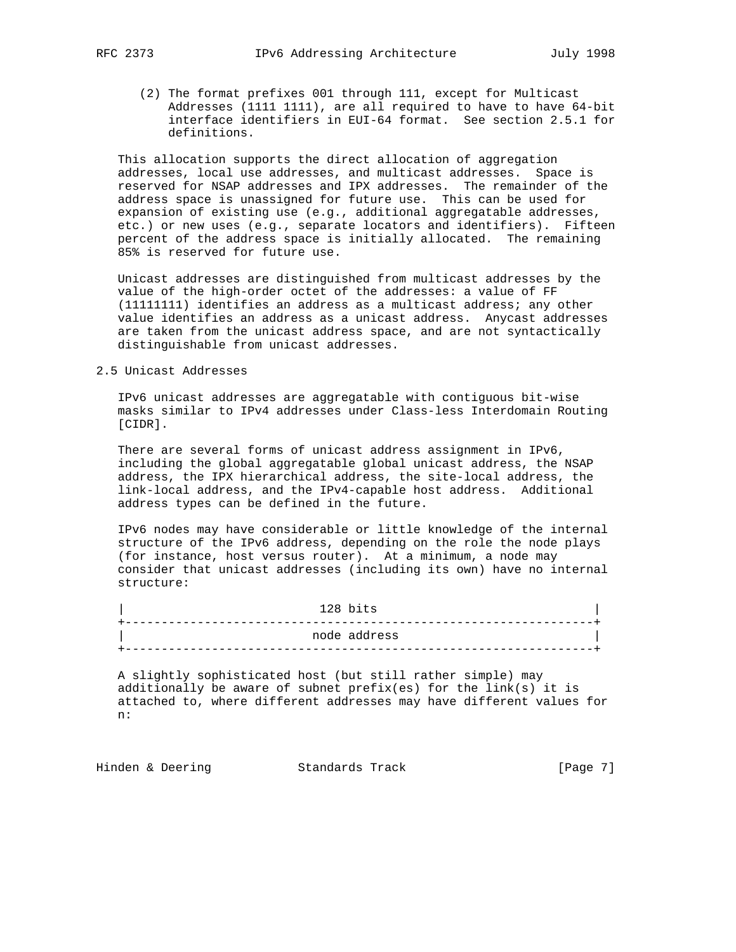(2) The format prefixes 001 through 111, except for Multicast Addresses (1111 1111), are all required to have to have 64-bit interface identifiers in EUI-64 format. See section 2.5.1 for definitions.

 This allocation supports the direct allocation of aggregation addresses, local use addresses, and multicast addresses. Space is reserved for NSAP addresses and IPX addresses. The remainder of the address space is unassigned for future use. This can be used for expansion of existing use (e.g., additional aggregatable addresses, etc.) or new uses (e.g., separate locators and identifiers). Fifteen percent of the address space is initially allocated. The remaining 85% is reserved for future use.

 Unicast addresses are distinguished from multicast addresses by the value of the high-order octet of the addresses: a value of FF (11111111) identifies an address as a multicast address; any other value identifies an address as a unicast address. Anycast addresses are taken from the unicast address space, and are not syntactically distinguishable from unicast addresses.

### 2.5 Unicast Addresses

 IPv6 unicast addresses are aggregatable with contiguous bit-wise masks similar to IPv4 addresses under Class-less Interdomain Routing [CIDR].

 There are several forms of unicast address assignment in IPv6, including the global aggregatable global unicast address, the NSAP address, the IPX hierarchical address, the site-local address, the link-local address, and the IPv4-capable host address. Additional address types can be defined in the future.

 IPv6 nodes may have considerable or little knowledge of the internal structure of the IPv6 address, depending on the role the node plays (for instance, host versus router). At a minimum, a node may consider that unicast addresses (including its own) have no internal structure:

| 128 bits     |
|--------------|
|              |
| node address |
|              |

 A slightly sophisticated host (but still rather simple) may additionally be aware of subnet prefix(es) for the link(s) it is attached to, where different addresses may have different values for n:

Hinden & Deering Standards Track [Page 7]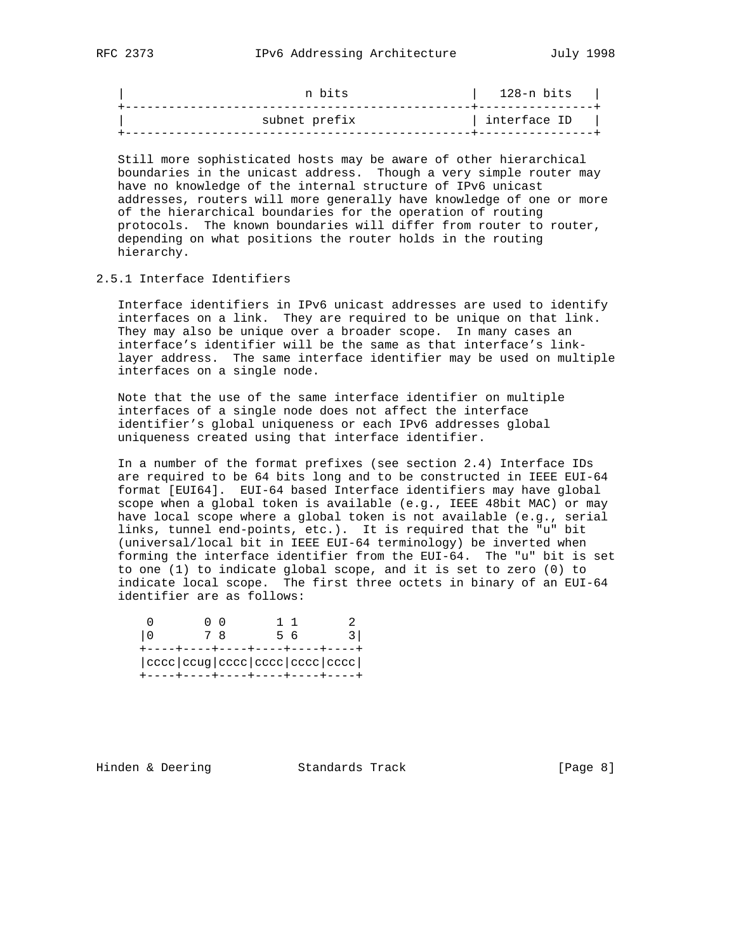| n bits        | 128-n bits   |
|---------------|--------------|
| subnet prefix | interface ID |
|               |              |

 Still more sophisticated hosts may be aware of other hierarchical boundaries in the unicast address. Though a very simple router may have no knowledge of the internal structure of IPv6 unicast addresses, routers will more generally have knowledge of one or more of the hierarchical boundaries for the operation of routing protocols. The known boundaries will differ from router to router, depending on what positions the router holds in the routing hierarchy.

## 2.5.1 Interface Identifiers

 Interface identifiers in IPv6 unicast addresses are used to identify interfaces on a link. They are required to be unique on that link. They may also be unique over a broader scope. In many cases an interface's identifier will be the same as that interface's link layer address. The same interface identifier may be used on multiple interfaces on a single node.

 Note that the use of the same interface identifier on multiple interfaces of a single node does not affect the interface identifier's global uniqueness or each IPv6 addresses global uniqueness created using that interface identifier.

 In a number of the format prefixes (see section 2.4) Interface IDs are required to be 64 bits long and to be constructed in IEEE EUI-64 format [EUI64]. EUI-64 based Interface identifiers may have global scope when a global token is available (e.g., IEEE 48bit MAC) or may have local scope where a global token is not available (e.g., serial links, tunnel end-points, etc.). It is required that the "u" bit (universal/local bit in IEEE EUI-64 terminology) be inverted when forming the interface identifier from the EUI-64. The "u" bit is set to one (1) to indicate global scope, and it is set to zero (0) to indicate local scope. The first three octets in binary of an EUI-64 identifier are as follows:

|                                                            |  | - 6 |  |
|------------------------------------------------------------|--|-----|--|
| $ cccc $ cccc $ cc$ cccc $ ccc $ cccc $ ccc $ cccc $ ccc $ |  |     |  |

Hinden & Deering Standards Track [Page 8]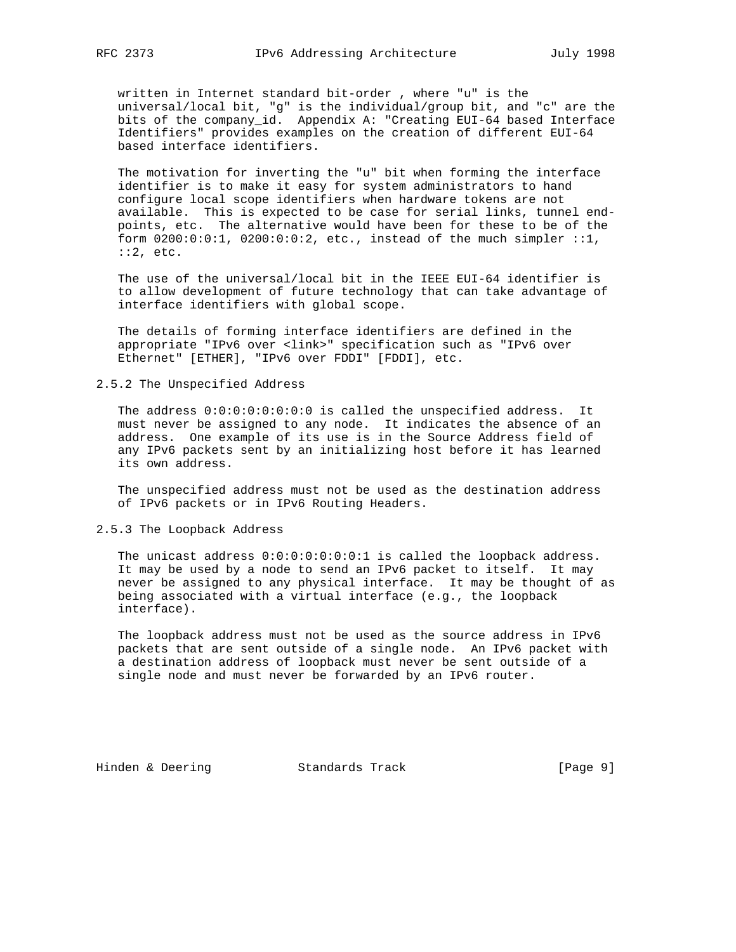written in Internet standard bit-order , where "u" is the universal/local bit, "g" is the individual/group bit, and "c" are the bits of the company\_id. Appendix A: "Creating EUI-64 based Interface Identifiers" provides examples on the creation of different EUI-64 based interface identifiers.

 The motivation for inverting the "u" bit when forming the interface identifier is to make it easy for system administrators to hand configure local scope identifiers when hardware tokens are not available. This is expected to be case for serial links, tunnel end points, etc. The alternative would have been for these to be of the form 0200:0:0:1, 0200:0:0:2, etc., instead of the much simpler ::1, ::2, etc.

 The use of the universal/local bit in the IEEE EUI-64 identifier is to allow development of future technology that can take advantage of interface identifiers with global scope.

 The details of forming interface identifiers are defined in the appropriate "IPv6 over <link>" specification such as "IPv6 over Ethernet" [ETHER], "IPv6 over FDDI" [FDDI], etc.

2.5.2 The Unspecified Address

 The address 0:0:0:0:0:0:0:0 is called the unspecified address. It must never be assigned to any node. It indicates the absence of an address. One example of its use is in the Source Address field of any IPv6 packets sent by an initializing host before it has learned its own address.

 The unspecified address must not be used as the destination address of IPv6 packets or in IPv6 Routing Headers.

### 2.5.3 The Loopback Address

 The unicast address 0:0:0:0:0:0:0:1 is called the loopback address. It may be used by a node to send an IPv6 packet to itself. It may never be assigned to any physical interface. It may be thought of as being associated with a virtual interface (e.g., the loopback interface).

 The loopback address must not be used as the source address in IPv6 packets that are sent outside of a single node. An IPv6 packet with a destination address of loopback must never be sent outside of a single node and must never be forwarded by an IPv6 router.

Hinden & Deering Standards Track [Page 9]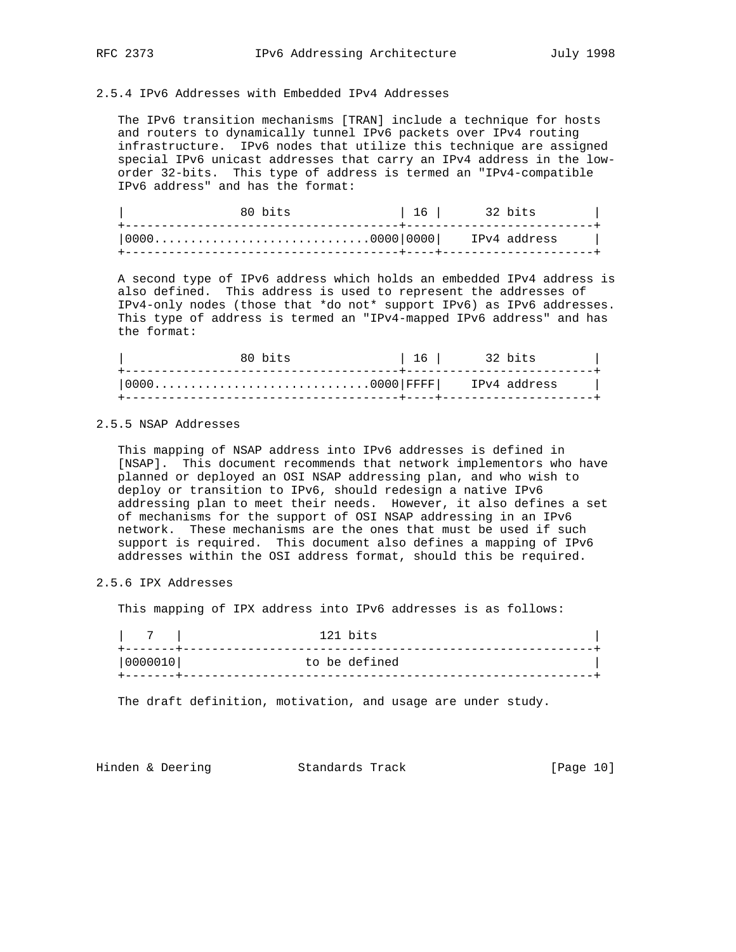## 2.5.4 IPv6 Addresses with Embedded IPv4 Addresses

 The IPv6 transition mechanisms [TRAN] include a technique for hosts and routers to dynamically tunnel IPv6 packets over IPv4 routing infrastructure. IPv6 nodes that utilize this technique are assigned special IPv6 unicast addresses that carry an IPv4 address in the low order 32-bits. This type of address is termed an "IPv4-compatible IPv6 address" and has the format:

|      | 80 hits                 | 16 | 32 bits |  |
|------|-------------------------|----|---------|--|
| 0000 | 0000 0000  IPv4 address |    |         |  |

 A second type of IPv6 address which holds an embedded IPv4 address is also defined. This address is used to represent the addresses of IPv4-only nodes (those that \*do not\* support IPv6) as IPv6 addresses. This type of address is termed an "IPv4-mapped IPv6 address" and has the format:

| 80 bits | 16 <sup>1</sup><br>32 bits |  |
|---------|----------------------------|--|
|         |                            |  |

### 2.5.5 NSAP Addresses

 This mapping of NSAP address into IPv6 addresses is defined in [NSAP]. This document recommends that network implementors who have planned or deployed an OSI NSAP addressing plan, and who wish to deploy or transition to IPv6, should redesign a native IPv6 addressing plan to meet their needs. However, it also defines a set of mechanisms for the support of OSI NSAP addressing in an IPv6 network. These mechanisms are the ones that must be used if such support is required. This document also defines a mapping of IPv6 addresses within the OSI address format, should this be required.

2.5.6 IPX Addresses

This mapping of IPX address into IPv6 addresses is as follows:

| - 7     | 121 bits      |
|---------|---------------|
| 0000010 | to be defined |
|         |               |

The draft definition, motivation, and usage are under study.

Hinden & Deering Standards Track [Page 10]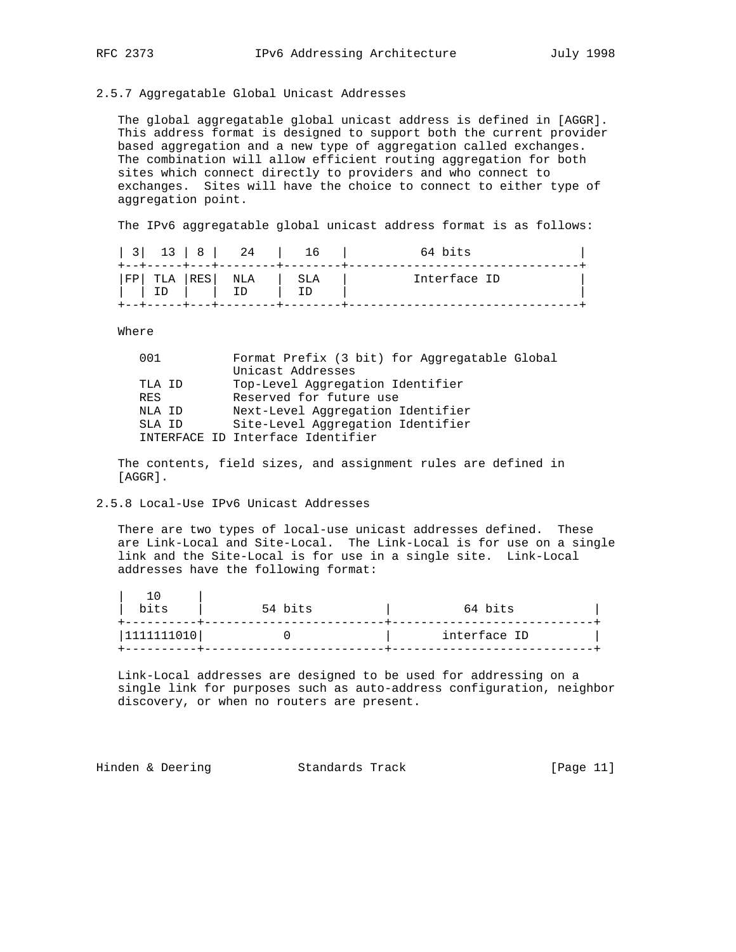### 2.5.7 Aggregatable Global Unicast Addresses

 The global aggregatable global unicast address is defined in [AGGR]. This address format is designed to support both the current provider based aggregation and a new type of aggregation called exchanges. The combination will allow efficient routing aggregation for both sites which connect directly to providers and who connect to exchanges. Sites will have the choice to connect to either type of aggregation point.

The IPv6 aggregatable global unicast address format is as follows:

| 3  | --+-----+---+--- |     | 13   8   24 | 16  | 64 bits      |  |
|----|------------------|-----|-------------|-----|--------------|--|
| FP | TLA              | RES | NLA         | SLA | Interface ID |  |
|    |                  |     |             |     |              |  |

Where

| 001        | Format Prefix (3 bit) for Aggregatable Global |
|------------|-----------------------------------------------|
|            | Unicast Addresses                             |
| TLA ID     | Top-Level Aggregation Identifier              |
| <b>RES</b> | Reserved for future use                       |
| NLA ID     | Next-Level Aggregation Identifier             |
| SLA ID     | Site-Level Aggregation Identifier             |
|            | INTERFACE ID Interface Identifier             |
|            |                                               |

 The contents, field sizes, and assignment rules are defined in [AGGR].

### 2.5.8 Local-Use IPv6 Unicast Addresses

 There are two types of local-use unicast addresses defined. These are Link-Local and Site-Local. The Link-Local is for use on a single link and the Site-Local is for use in a single site. Link-Local addresses have the following format:

| bits       | 54 bits | 64 bits      |
|------------|---------|--------------|
| 1111111010 |         | interface ID |

 Link-Local addresses are designed to be used for addressing on a single link for purposes such as auto-address configuration, neighbor discovery, or when no routers are present.

Hinden & Deering Standards Track [Page 11]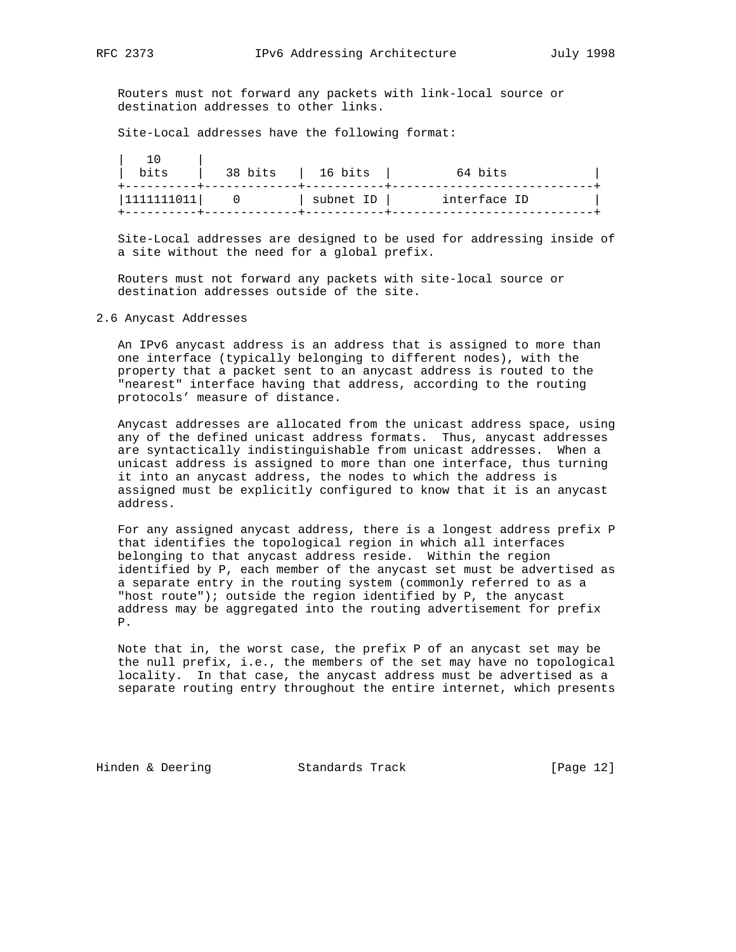Routers must not forward any packets with link-local source or destination addresses to other links.

Site-Local addresses have the following format:

| bits        | 38 bits | 16 bits   | 64 bits      |
|-------------|---------|-----------|--------------|
| 11111111011 |         | subnet ID | interface ID |

 Site-Local addresses are designed to be used for addressing inside of a site without the need for a global prefix.

 Routers must not forward any packets with site-local source or destination addresses outside of the site.

### 2.6 Anycast Addresses

 An IPv6 anycast address is an address that is assigned to more than one interface (typically belonging to different nodes), with the property that a packet sent to an anycast address is routed to the "nearest" interface having that address, according to the routing protocols' measure of distance.

 Anycast addresses are allocated from the unicast address space, using any of the defined unicast address formats. Thus, anycast addresses are syntactically indistinguishable from unicast addresses. When a unicast address is assigned to more than one interface, thus turning it into an anycast address, the nodes to which the address is assigned must be explicitly configured to know that it is an anycast address.

 For any assigned anycast address, there is a longest address prefix P that identifies the topological region in which all interfaces belonging to that anycast address reside. Within the region identified by P, each member of the anycast set must be advertised as a separate entry in the routing system (commonly referred to as a "host route"); outside the region identified by P, the anycast address may be aggregated into the routing advertisement for prefix P.

 Note that in, the worst case, the prefix P of an anycast set may be the null prefix, i.e., the members of the set may have no topological locality. In that case, the anycast address must be advertised as a separate routing entry throughout the entire internet, which presents

Hinden & Deering Standards Track [Page 12]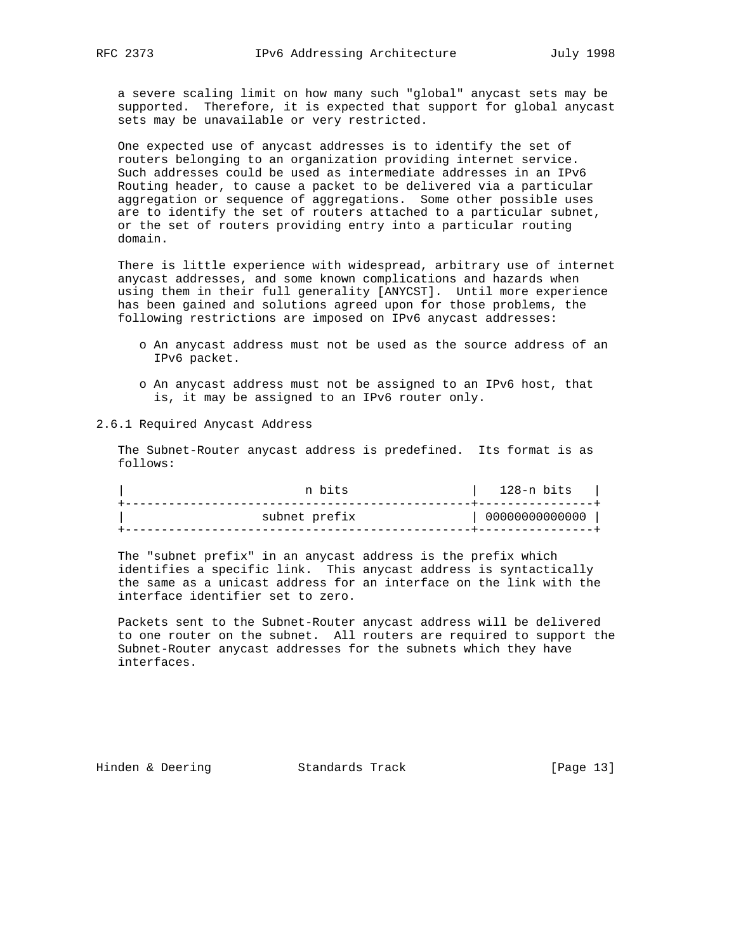a severe scaling limit on how many such "global" anycast sets may be supported. Therefore, it is expected that support for global anycast sets may be unavailable or very restricted.

 One expected use of anycast addresses is to identify the set of routers belonging to an organization providing internet service. Such addresses could be used as intermediate addresses in an IPv6 Routing header, to cause a packet to be delivered via a particular aggregation or sequence of aggregations. Some other possible uses are to identify the set of routers attached to a particular subnet, or the set of routers providing entry into a particular routing domain.

 There is little experience with widespread, arbitrary use of internet anycast addresses, and some known complications and hazards when using them in their full generality [ANYCST]. Until more experience has been gained and solutions agreed upon for those problems, the following restrictions are imposed on IPv6 anycast addresses:

- o An anycast address must not be used as the source address of an IPv6 packet.
- o An anycast address must not be assigned to an IPv6 host, that is, it may be assigned to an IPv6 router only.

2.6.1 Required Anycast Address

 The Subnet-Router anycast address is predefined. Its format is as follows:

| n bits        | 128-n bits     |
|---------------|----------------|
| subnet prefix | 00000000000000 |

 The "subnet prefix" in an anycast address is the prefix which identifies a specific link. This anycast address is syntactically the same as a unicast address for an interface on the link with the interface identifier set to zero.

 Packets sent to the Subnet-Router anycast address will be delivered to one router on the subnet. All routers are required to support the Subnet-Router anycast addresses for the subnets which they have interfaces.

Hinden & Deering Standards Track [Page 13]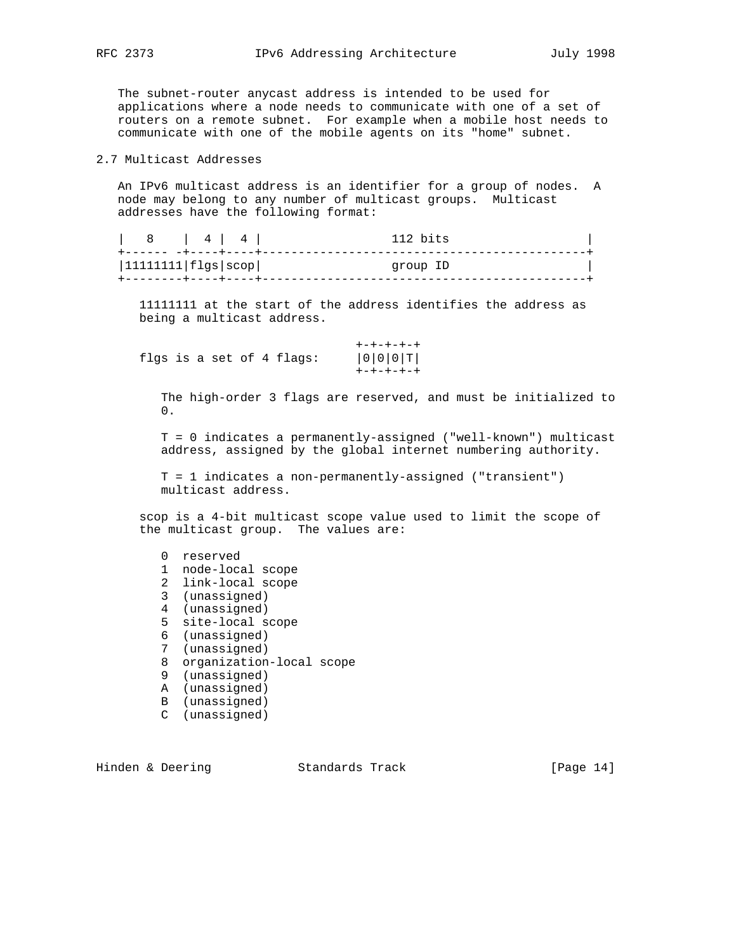The subnet-router anycast address is intended to be used for applications where a node needs to communicate with one of a set of routers on a remote subnet. For example when a mobile host needs to communicate with one of the mobile agents on its "home" subnet.

# 2.7 Multicast Addresses

 An IPv6 multicast address is an identifier for a group of nodes. A node may belong to any number of multicast groups. Multicast addresses have the following format:

|                            | 14141 | 112 hits |
|----------------------------|-------|----------|
| $ 11111111 $ flgs $ scop $ |       | group ID |
|                            |       |          |

 11111111 at the start of the address identifies the address as being a multicast address.

|  |  |  | flgs is a set of 4 flags: | ナーナーナーナーナ |
|--|--|--|---------------------------|-----------|
|  |  |  |                           | ナーナーナーナーナ |

 The high-order 3 flags are reserved, and must be initialized to 0.

 T = 0 indicates a permanently-assigned ("well-known") multicast address, assigned by the global internet numbering authority.

 T = 1 indicates a non-permanently-assigned ("transient") multicast address.

 scop is a 4-bit multicast scope value used to limit the scope of the multicast group. The values are:

- 1 node-local scope
- 2 link-local scope
- 3 (unassigned)
- 4 (unassigned)
- 5 site-local scope
- 6 (unassigned)
- 7 (unassigned)
- 8 organization-local scope
- 9 (unassigned)
- A (unassigned)
- B (unassigned)
- C (unassigned)

Hinden & Deering Standards Track [Page 14]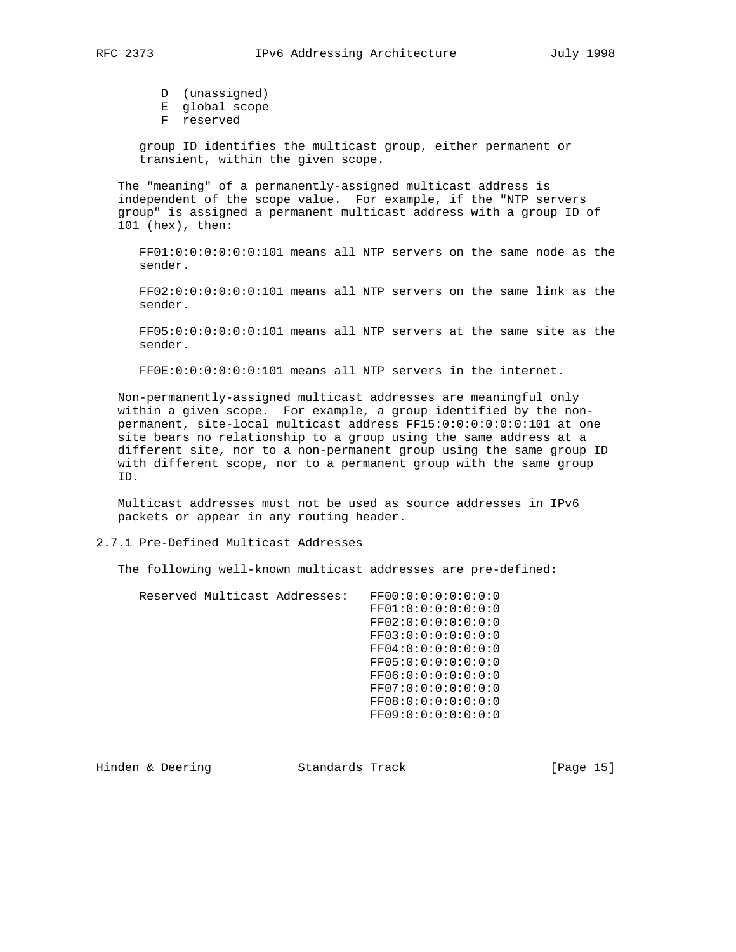D (unassigned)

- E global scope
- F reserved

 group ID identifies the multicast group, either permanent or transient, within the given scope.

 The "meaning" of a permanently-assigned multicast address is independent of the scope value. For example, if the "NTP servers group" is assigned a permanent multicast address with a group ID of 101 (hex), then:

 FF01:0:0:0:0:0:0:101 means all NTP servers on the same node as the sender.

 FF02:0:0:0:0:0:0:101 means all NTP servers on the same link as the sender.

 FF05:0:0:0:0:0:0:101 means all NTP servers at the same site as the sender.

FF0E:0:0:0:0:0:0:101 means all NTP servers in the internet.

 Non-permanently-assigned multicast addresses are meaningful only within a given scope. For example, a group identified by the non permanent, site-local multicast address FF15:0:0:0:0:0:0:101 at one site bears no relationship to a group using the same address at a different site, nor to a non-permanent group using the same group ID with different scope, nor to a permanent group with the same group ID.

 Multicast addresses must not be used as source addresses in IPv6 packets or appear in any routing header.

## 2.7.1 Pre-Defined Multicast Addresses

The following well-known multicast addresses are pre-defined:

|  | Reserved Multicast Addresses: | FF00:0:0:0:0:0:0:0:0 |
|--|-------------------------------|----------------------|
|  |                               | FF01:0:0:0:0:0:0:0:0 |
|  |                               | FF02:0:0:0:0:0:0:0:0 |
|  |                               | FF03:0:0:0:0:0:0:0:0 |
|  |                               | FF04:0:0:0:0:0:0:0:0 |
|  |                               | FF05:0:0:0:0:0:0:0:0 |
|  |                               | FF06:0:0:0:0:0:0:0:0 |
|  |                               | FF07:0:0:0:0:0:0:0:0 |
|  |                               | FF08:0:0:0:0:0:0:0:0 |
|  |                               | FF09:0:0:0:0:0:0:0:0 |

Hinden & Deering Standards Track [Page 15]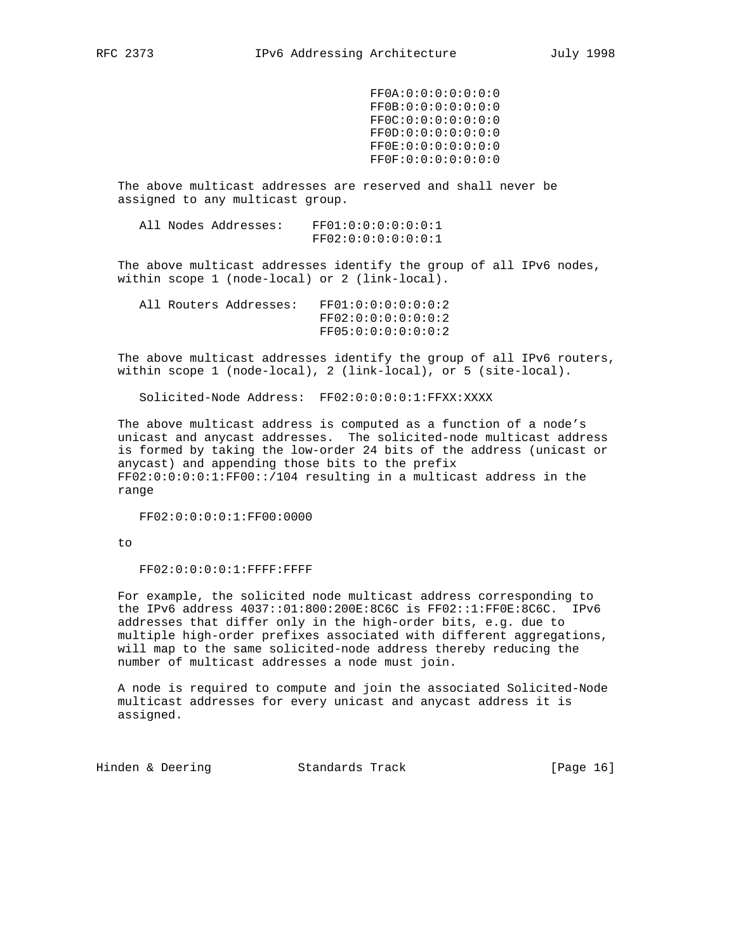FF0A:0:0:0:0:0:0:0 FF0B:0:0:0:0:0:0:0 FF0C:0:0:0:0:0:0:0 FF0D:0:0:0:0:0:0:0 FF0E:0:0:0:0:0:0:0 FF0F:0:0:0:0:0:0:0

 The above multicast addresses are reserved and shall never be assigned to any multicast group.

 All Nodes Addresses: FF01:0:0:0:0:0:0:1 FF02:0:0:0:0:0:0:1

 The above multicast addresses identify the group of all IPv6 nodes, within scope 1 (node-local) or 2 (link-local).

|  | All Routers Addresses: | FF01:0:0:0:0:0:0:0:2 |
|--|------------------------|----------------------|
|  |                        | FF02:0:0:0:0:0:0:0:2 |
|  |                        | FF05:0:0:0:0:0:0:2   |

 The above multicast addresses identify the group of all IPv6 routers, within scope 1 (node-local), 2 (link-local), or 5 (site-local).

Solicited-Node Address: FF02:0:0:0:0:1:FFXX:XXXX

 The above multicast address is computed as a function of a node's unicast and anycast addresses. The solicited-node multicast address is formed by taking the low-order 24 bits of the address (unicast or anycast) and appending those bits to the prefix FF02:0:0:0:0:1:FF00::/104 resulting in a multicast address in the range

FF02:0:0:0:0:1:FF00:0000

to

FF02:0:0:0:0:1:FFFF:FFFF

 For example, the solicited node multicast address corresponding to the IPv6 address 4037::01:800:200E:8C6C is FF02::1:FF0E:8C6C. IPv6 addresses that differ only in the high-order bits, e.g. due to multiple high-order prefixes associated with different aggregations, will map to the same solicited-node address thereby reducing the number of multicast addresses a node must join.

 A node is required to compute and join the associated Solicited-Node multicast addresses for every unicast and anycast address it is assigned.

Hinden & Deering Standards Track [Page 16]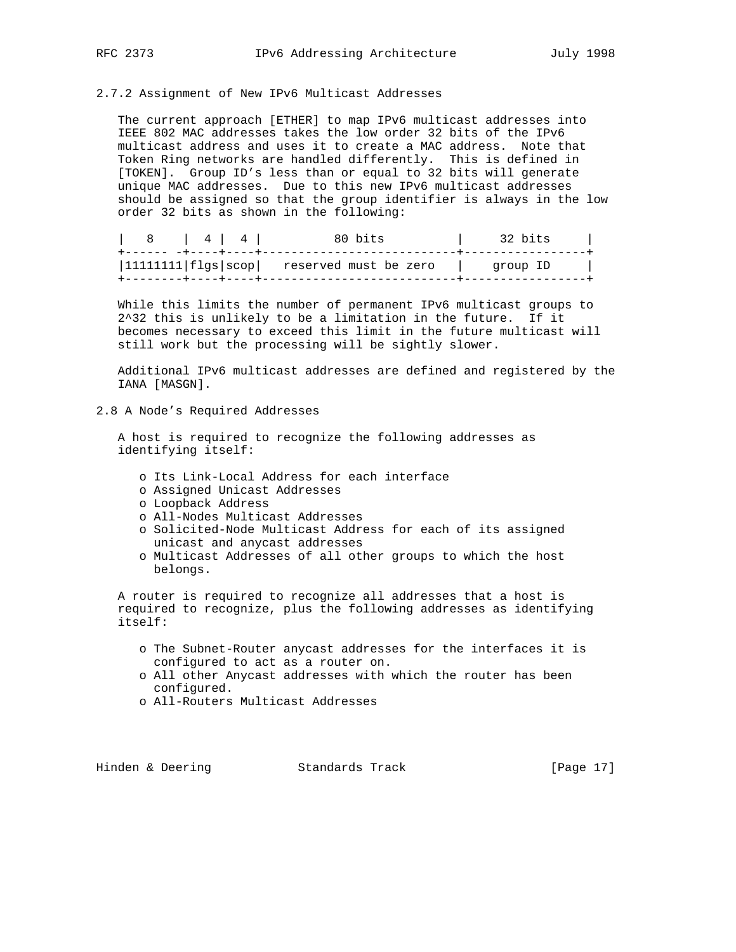#### 2.7.2 Assignment of New IPv6 Multicast Addresses

 The current approach [ETHER] to map IPv6 multicast addresses into IEEE 802 MAC addresses takes the low order 32 bits of the IPv6 multicast address and uses it to create a MAC address. Note that Token Ring networks are handled differently. This is defined in [TOKEN]. Group ID's less than or equal to 32 bits will generate unique MAC addresses. Due to this new IPv6 multicast addresses should be assigned so that the group identifier is always in the low order 32 bits as shown in the following:

| $\begin{array}{c c c c c c c c c} & 4 & 4 & \end{array}$ | 80 bits                                      | 32 bits  |
|----------------------------------------------------------|----------------------------------------------|----------|
|                                                          | $ 11111111 flgs scop $ reserved must be zero | qroup ID |

 While this limits the number of permanent IPv6 multicast groups to 2^32 this is unlikely to be a limitation in the future. If it becomes necessary to exceed this limit in the future multicast will still work but the processing will be sightly slower.

 Additional IPv6 multicast addresses are defined and registered by the IANA [MASGN].

## 2.8 A Node's Required Addresses

 A host is required to recognize the following addresses as identifying itself:

- o Its Link-Local Address for each interface
- o Assigned Unicast Addresses
- o Loopback Address
- o All-Nodes Multicast Addresses
- o Solicited-Node Multicast Address for each of its assigned unicast and anycast addresses
- o Multicast Addresses of all other groups to which the host belongs.

 A router is required to recognize all addresses that a host is required to recognize, plus the following addresses as identifying itself:

- o The Subnet-Router anycast addresses for the interfaces it is configured to act as a router on.
- o All other Anycast addresses with which the router has been configured.
- o All-Routers Multicast Addresses

Hinden & Deering Standards Track [Page 17]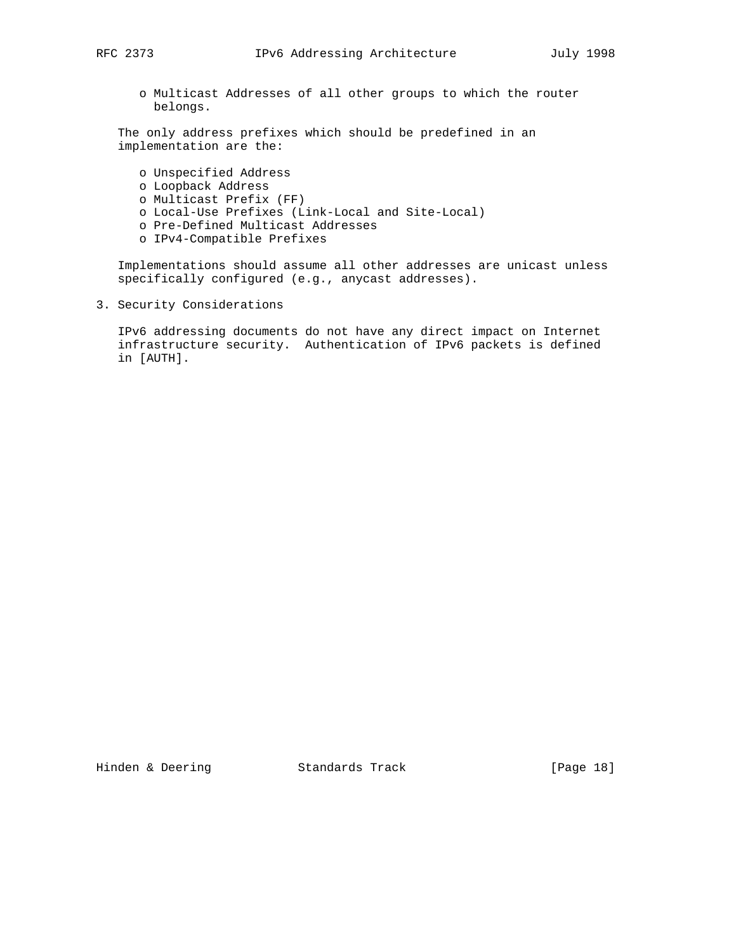o Multicast Addresses of all other groups to which the router belongs.

 The only address prefixes which should be predefined in an implementation are the:

 o Unspecified Address o Loopback Address o Multicast Prefix (FF) o Local-Use Prefixes (Link-Local and Site-Local) o Pre-Defined Multicast Addresses o IPv4-Compatible Prefixes

 Implementations should assume all other addresses are unicast unless specifically configured (e.g., anycast addresses).

3. Security Considerations

 IPv6 addressing documents do not have any direct impact on Internet infrastructure security. Authentication of IPv6 packets is defined in [AUTH].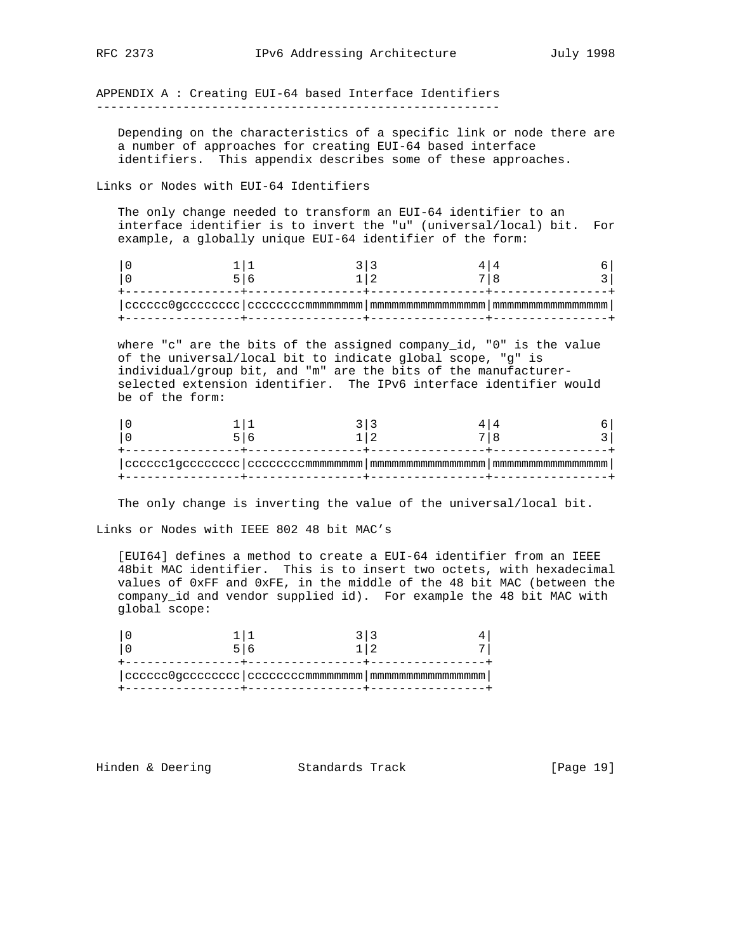APPENDIX A : Creating EUI-64 based Interface Identifiers --------------------------------------------------------

 Depending on the characteristics of a specific link or node there are a number of approaches for creating EUI-64 based interface identifiers. This appendix describes some of these approaches.

Links or Nodes with EUI-64 Identifiers

 The only change needed to transform an EUI-64 identifier to an interface identifier is to invert the "u" (universal/local) bit. For example, a globally unique EUI-64 identifier of the form:

|  | $\mid$ <code>cccccc0gcccccccc</code> $\mid$ <code>cccccccmmmmmmmm</code> $\mid$ <code>mmmmmmmmmmmmmmm</code> $\mid$ <code>mmmmmmmmmmmm</code> |  |
|--|-----------------------------------------------------------------------------------------------------------------------------------------------|--|

 where "c" are the bits of the assigned company\_id, "0" is the value of the universal/local bit to indicate global scope, "g" is individual/group bit, and "m" are the bits of the manufacturer selected extension identifier. The IPv6 interface identifier would be of the form:

The only change is inverting the value of the universal/local bit.

Links or Nodes with IEEE 802 48 bit MAC's

 [EUI64] defines a method to create a EUI-64 identifier from an IEEE 48bit MAC identifier. This is to insert two octets, with hexadecimal values of 0xFF and 0xFE, in the middle of the 48 bit MAC (between the company\_id and vendor supplied id). For example the 48 bit MAC with global scope:

Hinden & Deering Standards Track [Page 19]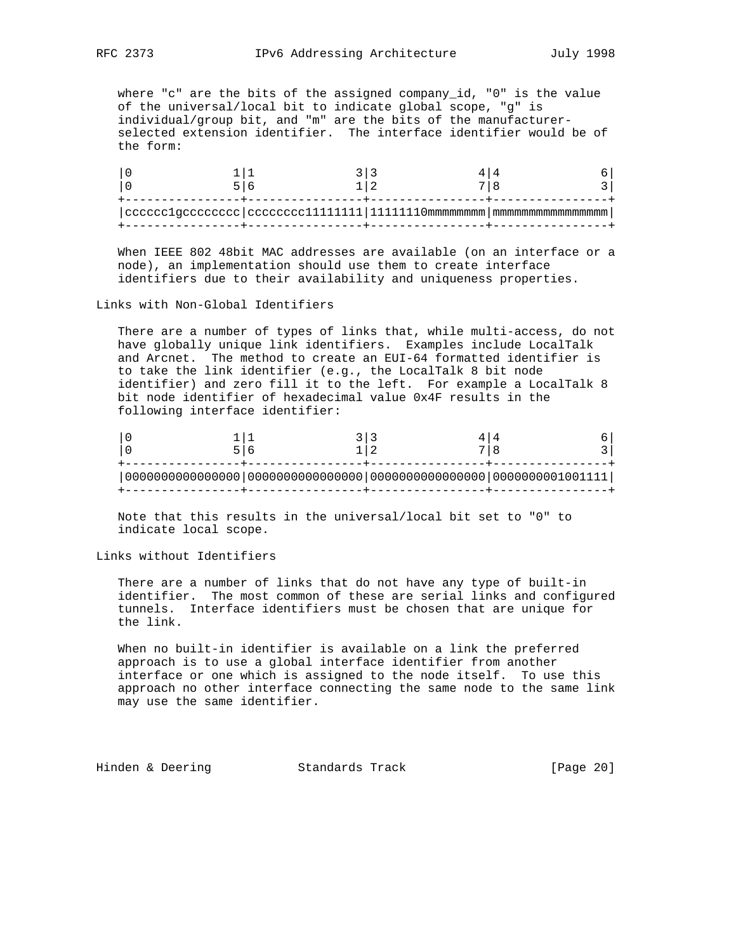where "c" are the bits of the assigned company\_id, "0" is the value of the universal/local bit to indicate global scope, "g" is individual/group bit, and "m" are the bits of the manufacturer selected extension identifier. The interface identifier would be of the form:

| $ {\rm{\texttt{ccccc}}1gcccccccc\texttt{ccccc}}\, \, {\rm{\texttt{ccccc}}11111111}\, \, 11111110$ mmmmmmmm $ \,$ mmmmmmmmmmmmmmmm |  |  |
|-----------------------------------------------------------------------------------------------------------------------------------|--|--|
|                                                                                                                                   |  |  |

 When IEEE 802 48bit MAC addresses are available (on an interface or a node), an implementation should use them to create interface identifiers due to their availability and uniqueness properties.

Links with Non-Global Identifiers

 There are a number of types of links that, while multi-access, do not have globally unique link identifiers. Examples include LocalTalk and Arcnet. The method to create an EUI-64 formatted identifier is to take the link identifier (e.g., the LocalTalk 8 bit node identifier) and zero fill it to the left. For example a LocalTalk 8 bit node identifier of hexadecimal value 0x4F results in the following interface identifier:

 Note that this results in the universal/local bit set to "0" to indicate local scope.

Links without Identifiers

 There are a number of links that do not have any type of built-in identifier. The most common of these are serial links and configured tunnels. Interface identifiers must be chosen that are unique for the link.

 When no built-in identifier is available on a link the preferred approach is to use a global interface identifier from another interface or one which is assigned to the node itself. To use this approach no other interface connecting the same node to the same link may use the same identifier.

Hinden & Deering Standards Track [Page 20]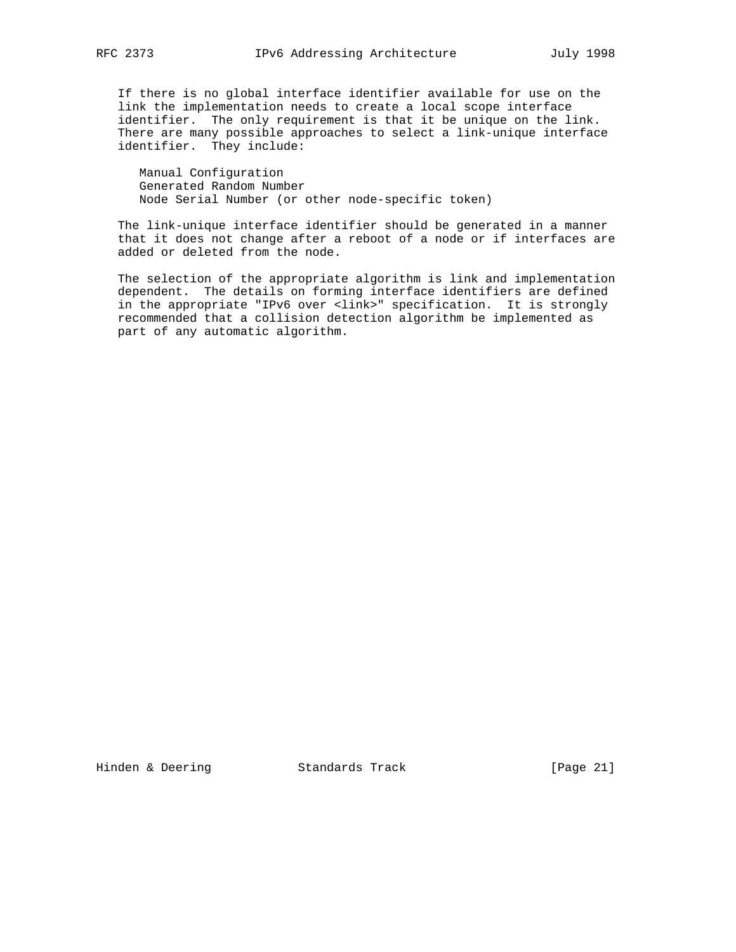If there is no global interface identifier available for use on the link the implementation needs to create a local scope interface identifier. The only requirement is that it be unique on the link. There are many possible approaches to select a link-unique interface identifier. They include:

 Manual Configuration Generated Random Number Node Serial Number (or other node-specific token)

 The link-unique interface identifier should be generated in a manner that it does not change after a reboot of a node or if interfaces are added or deleted from the node.

 The selection of the appropriate algorithm is link and implementation dependent. The details on forming interface identifiers are defined in the appropriate "IPv6 over <link>" specification. It is strongly recommended that a collision detection algorithm be implemented as part of any automatic algorithm.

Hinden & Deering Standards Track [Page 21]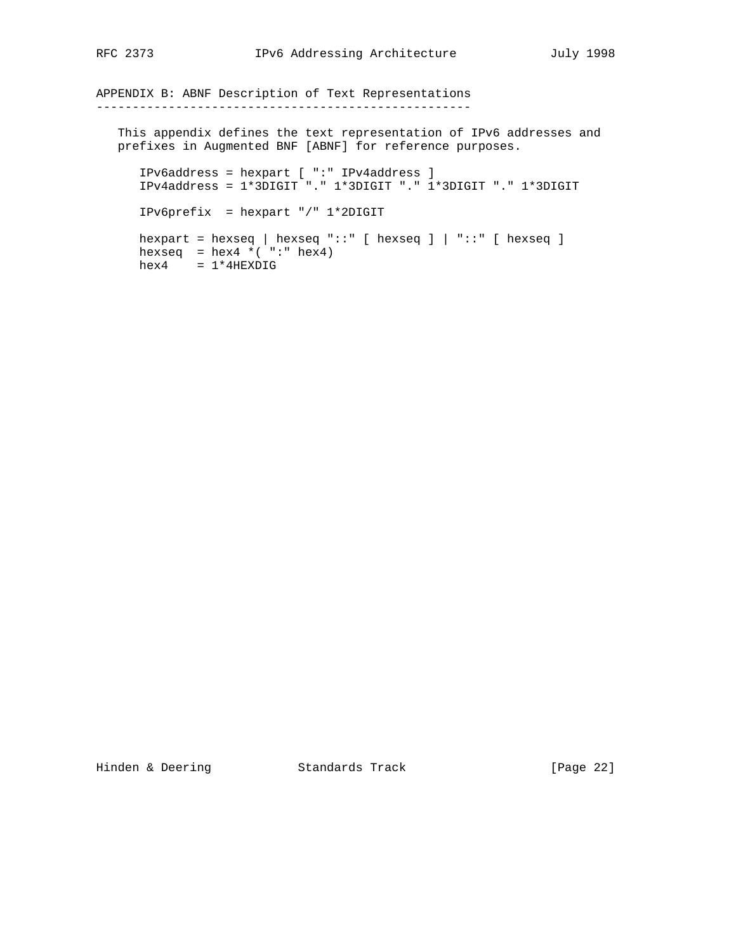APPENDIX B: ABNF Description of Text Representations ----------------------------------------------------

 This appendix defines the text representation of IPv6 addresses and prefixes in Augmented BNF [ABNF] for reference purposes.

 IPv6address = hexpart [ ":" IPv4address ] IPv4address = 1\*3DIGIT "." 1\*3DIGIT "." 1\*3DIGIT "." 1\*3DIGIT IPv6prefix = hexpart "/" 1\*2DIGIT hexpart = hexseq | hexseq " $::$ " [ hexseq ] | " $::$ " [ hexseq ] hexseq =  $hex4 * ( ":: " hex4)$  $hex4 = 1*4$ HEXDIG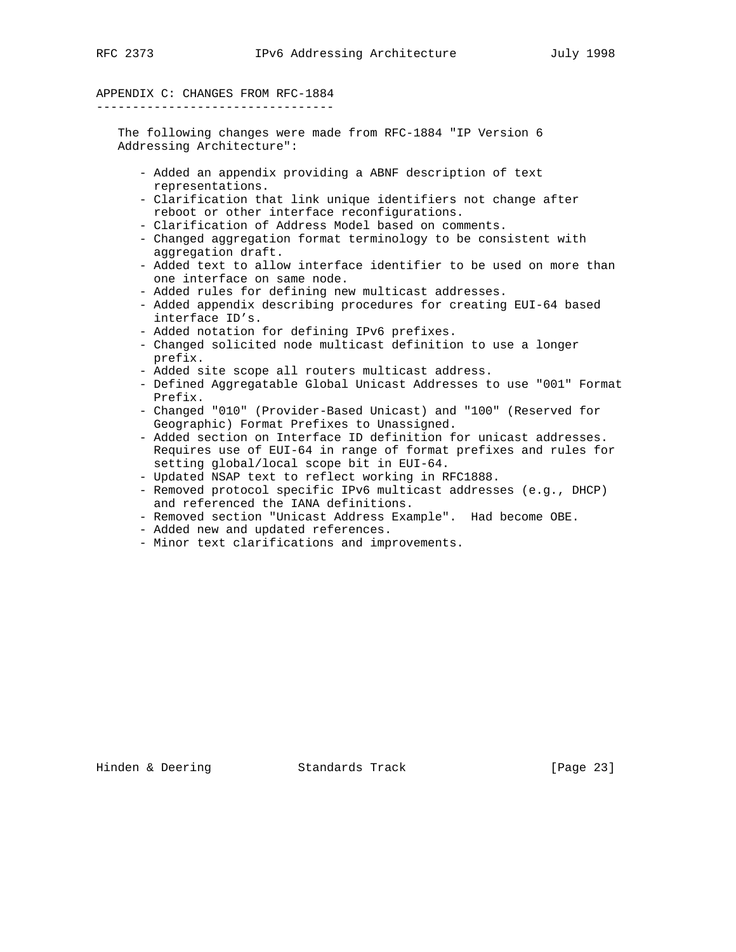# APPENDIX C: CHANGES FROM RFC-1884

---------------------------------

 The following changes were made from RFC-1884 "IP Version 6 Addressing Architecture":

- Added an appendix providing a ABNF description of text representations.
- Clarification that link unique identifiers not change after reboot or other interface reconfigurations.
- Clarification of Address Model based on comments.
- Changed aggregation format terminology to be consistent with aggregation draft.
- Added text to allow interface identifier to be used on more than one interface on same node.
- Added rules for defining new multicast addresses.
- Added appendix describing procedures for creating EUI-64 based interface ID's.
- Added notation for defining IPv6 prefixes.
- Changed solicited node multicast definition to use a longer prefix.
- Added site scope all routers multicast address.
- Defined Aggregatable Global Unicast Addresses to use "001" Format Prefix.
- Changed "010" (Provider-Based Unicast) and "100" (Reserved for Geographic) Format Prefixes to Unassigned.
- Added section on Interface ID definition for unicast addresses. Requires use of EUI-64 in range of format prefixes and rules for setting global/local scope bit in EUI-64.
- Updated NSAP text to reflect working in RFC1888.
- Removed protocol specific IPv6 multicast addresses (e.g., DHCP) and referenced the IANA definitions.
- Removed section "Unicast Address Example". Had become OBE.
- Added new and updated references.
- Minor text clarifications and improvements.

Hinden & Deering Standards Track [Page 23]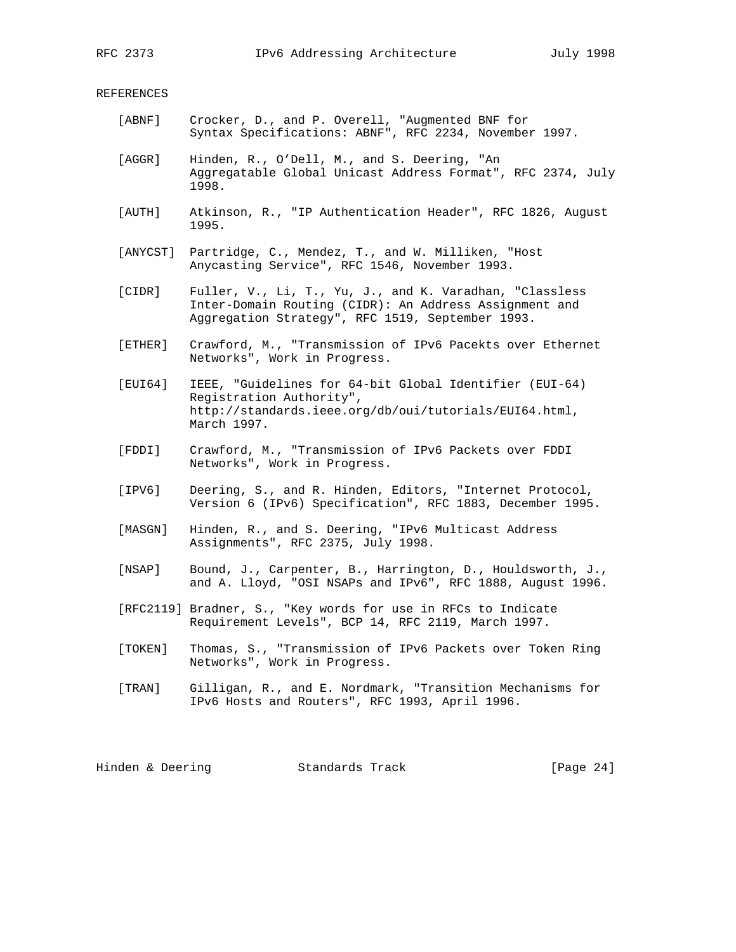#### REFERENCES

- [ABNF] Crocker, D., and P. Overell, "Augmented BNF for Syntax Specifications: ABNF", RFC 2234, November 1997.
	- [AGGR] Hinden, R., O'Dell, M., and S. Deering, "An Aggregatable Global Unicast Address Format", RFC 2374, July 1998.
	- [AUTH] Atkinson, R., "IP Authentication Header", RFC 1826, August 1995.
	- [ANYCST] Partridge, C., Mendez, T., and W. Milliken, "Host Anycasting Service", RFC 1546, November 1993.
	- [CIDR] Fuller, V., Li, T., Yu, J., and K. Varadhan, "Classless Inter-Domain Routing (CIDR): An Address Assignment and Aggregation Strategy", RFC 1519, September 1993.
	- [ETHER] Crawford, M., "Transmission of IPv6 Pacekts over Ethernet Networks", Work in Progress.
	- [EUI64] IEEE, "Guidelines for 64-bit Global Identifier (EUI-64) Registration Authority", http://standards.ieee.org/db/oui/tutorials/EUI64.html, March 1997.
	- [FDDI] Crawford, M., "Transmission of IPv6 Packets over FDDI Networks", Work in Progress.
	- [IPV6] Deering, S., and R. Hinden, Editors, "Internet Protocol, Version 6 (IPv6) Specification", RFC 1883, December 1995.
	- [MASGN] Hinden, R., and S. Deering, "IPv6 Multicast Address Assignments", RFC 2375, July 1998.
	- [NSAP] Bound, J., Carpenter, B., Harrington, D., Houldsworth, J., and A. Lloyd, "OSI NSAPs and IPv6", RFC 1888, August 1996.
	- [RFC2119] Bradner, S., "Key words for use in RFCs to Indicate Requirement Levels", BCP 14, RFC 2119, March 1997.
	- [TOKEN] Thomas, S., "Transmission of IPv6 Packets over Token Ring Networks", Work in Progress.
	- [TRAN] Gilligan, R., and E. Nordmark, "Transition Mechanisms for IPv6 Hosts and Routers", RFC 1993, April 1996.

Hinden & Deering Standards Track [Page 24]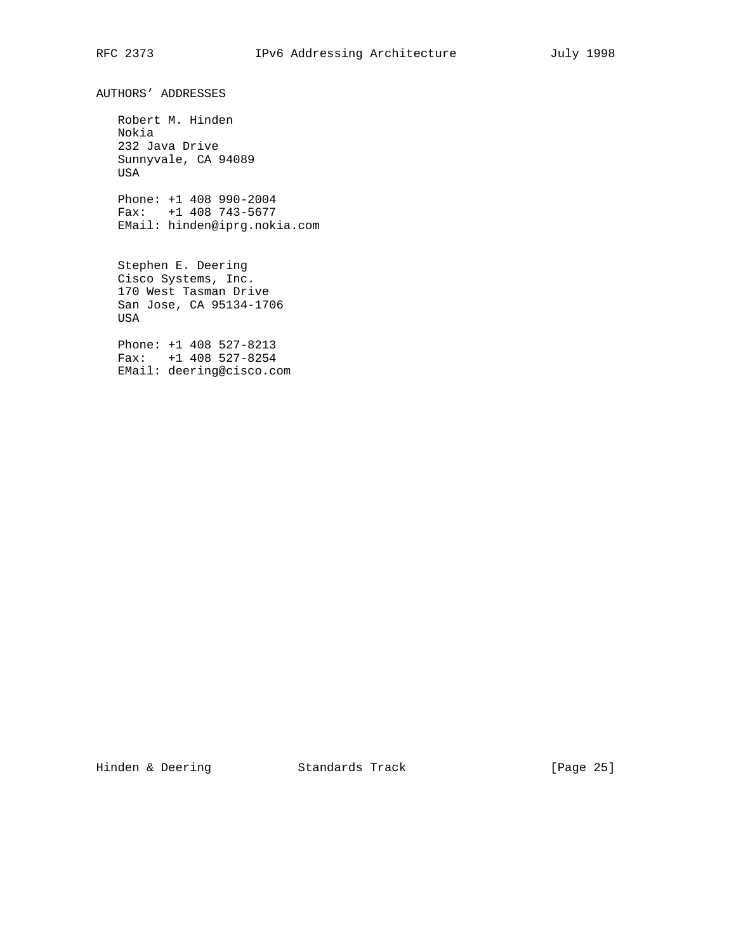AUTHORS' ADDRESSES

 Robert M. Hinden Nokia 232 Java Drive Sunnyvale, CA 94089 USA

 Phone: +1 408 990-2004 Fax: +1 408 743-5677 EMail: hinden@iprg.nokia.com

 Stephen E. Deering Cisco Systems, Inc. 170 West Tasman Drive San Jose, CA 95134-1706 USA

 Phone: +1 408 527-8213 Fax: +1 408 527-8254 EMail: deering@cisco.com

Hinden & Deering Standards Track [Page 25]